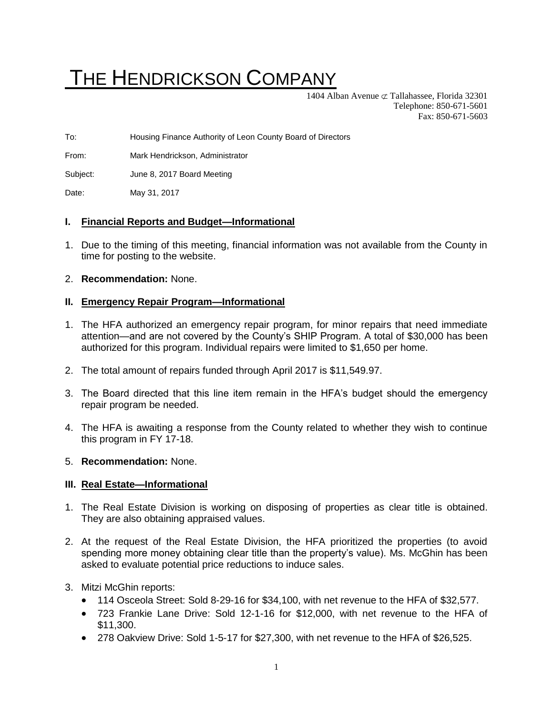# THE HENDRICKSON COMPANY

1404 Alban Avenue  $\subset \mathcal{I}$  Tallahassee, Florida 32301 Telephone: 850-671-5601 Fax: 850-671-5603

To: Housing Finance Authority of Leon County Board of Directors

From: Mark Hendrickson, Administrator

Subject: June 8, 2017 Board Meeting

Date: May 31, 2017

#### **I. Financial Reports and Budget—Informational**

- 1. Due to the timing of this meeting, financial information was not available from the County in time for posting to the website.
- 2. **Recommendation:** None.

#### **II. Emergency Repair Program—Informational**

- 1. The HFA authorized an emergency repair program, for minor repairs that need immediate attention—and are not covered by the County's SHIP Program. A total of \$30,000 has been authorized for this program. Individual repairs were limited to \$1,650 per home.
- 2. The total amount of repairs funded through April 2017 is \$11,549.97.
- 3. The Board directed that this line item remain in the HFA's budget should the emergency repair program be needed.
- 4. The HFA is awaiting a response from the County related to whether they wish to continue this program in FY 17-18.
- 5. **Recommendation:** None.

#### **III. Real Estate—Informational**

- 1. The Real Estate Division is working on disposing of properties as clear title is obtained. They are also obtaining appraised values.
- 2. At the request of the Real Estate Division, the HFA prioritized the properties (to avoid spending more money obtaining clear title than the property's value). Ms. McGhin has been asked to evaluate potential price reductions to induce sales.
- 3. Mitzi McGhin reports:
	- 114 Osceola Street: Sold 8-29-16 for \$34,100, with net revenue to the HFA of \$32,577.
	- 723 Frankie Lane Drive: Sold 12-1-16 for \$12,000, with net revenue to the HFA of \$11,300.
	- 278 Oakview Drive: Sold 1-5-17 for \$27,300, with net revenue to the HFA of \$26,525.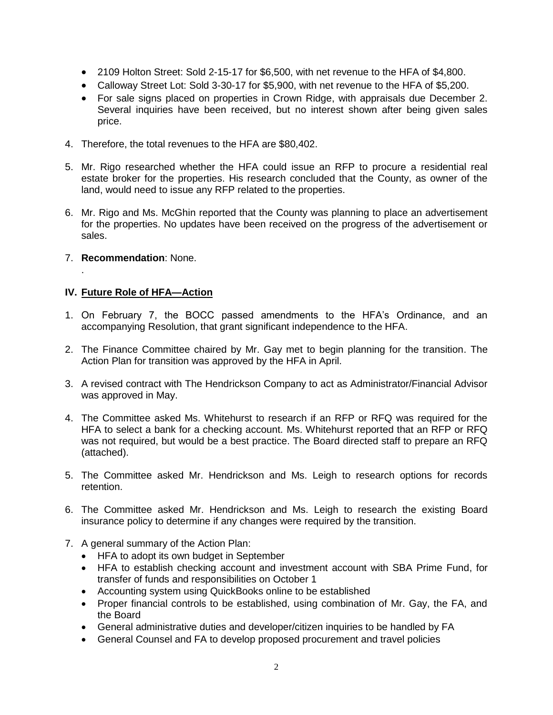- 2109 Holton Street: Sold 2-15-17 for \$6,500, with net revenue to the HFA of \$4,800.
- Calloway Street Lot: Sold 3-30-17 for \$5,900, with net revenue to the HFA of \$5,200.
- For sale signs placed on properties in Crown Ridge, with appraisals due December 2. Several inquiries have been received, but no interest shown after being given sales price.
- 4. Therefore, the total revenues to the HFA are \$80,402.
- 5. Mr. Rigo researched whether the HFA could issue an RFP to procure a residential real estate broker for the properties. His research concluded that the County, as owner of the land, would need to issue any RFP related to the properties.
- 6. Mr. Rigo and Ms. McGhin reported that the County was planning to place an advertisement for the properties. No updates have been received on the progress of the advertisement or sales.
- 7. **Recommendation**: None.

.

## **IV. Future Role of HFA—Action**

- 1. On February 7, the BOCC passed amendments to the HFA's Ordinance, and an accompanying Resolution, that grant significant independence to the HFA.
- 2. The Finance Committee chaired by Mr. Gay met to begin planning for the transition. The Action Plan for transition was approved by the HFA in April.
- 3. A revised contract with The Hendrickson Company to act as Administrator/Financial Advisor was approved in May.
- 4. The Committee asked Ms. Whitehurst to research if an RFP or RFQ was required for the HFA to select a bank for a checking account. Ms. Whitehurst reported that an RFP or RFQ was not required, but would be a best practice. The Board directed staff to prepare an RFQ (attached).
- 5. The Committee asked Mr. Hendrickson and Ms. Leigh to research options for records retention.
- 6. The Committee asked Mr. Hendrickson and Ms. Leigh to research the existing Board insurance policy to determine if any changes were required by the transition.
- 7. A general summary of the Action Plan:
	- HFA to adopt its own budget in September
	- HFA to establish checking account and investment account with SBA Prime Fund, for transfer of funds and responsibilities on October 1
	- Accounting system using QuickBooks online to be established
	- Proper financial controls to be established, using combination of Mr. Gay, the FA, and the Board
	- General administrative duties and developer/citizen inquiries to be handled by FA
	- General Counsel and FA to develop proposed procurement and travel policies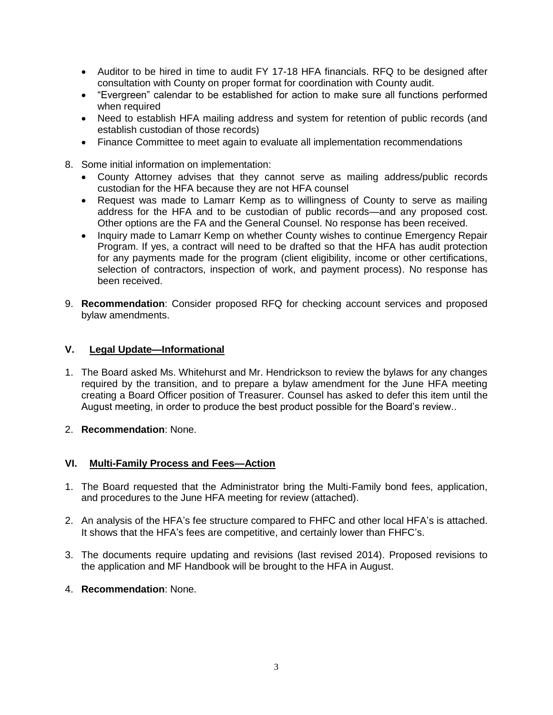- Auditor to be hired in time to audit FY 17-18 HFA financials. RFQ to be designed after consultation with County on proper format for coordination with County audit.
- "Evergreen" calendar to be established for action to make sure all functions performed when required
- Need to establish HFA mailing address and system for retention of public records (and establish custodian of those records)
- Finance Committee to meet again to evaluate all implementation recommendations
- 8. Some initial information on implementation:
	- County Attorney advises that they cannot serve as mailing address/public records custodian for the HFA because they are not HFA counsel
	- Request was made to Lamarr Kemp as to willingness of County to serve as mailing address for the HFA and to be custodian of public records—and any proposed cost. Other options are the FA and the General Counsel. No response has been received.
	- Inquiry made to Lamarr Kemp on whether County wishes to continue Emergency Repair Program. If yes, a contract will need to be drafted so that the HFA has audit protection for any payments made for the program (client eligibility, income or other certifications, selection of contractors, inspection of work, and payment process). No response has been received.
- 9. **Recommendation**: Consider proposed RFQ for checking account services and proposed bylaw amendments.

#### **V. Legal Update—Informational**

- 1. The Board asked Ms. Whitehurst and Mr. Hendrickson to review the bylaws for any changes required by the transition, and to prepare a bylaw amendment for the June HFA meeting creating a Board Officer position of Treasurer. Counsel has asked to defer this item until the August meeting, in order to produce the best product possible for the Board's review..
- 2. **Recommendation**: None.

## **VI. Multi-Family Process and Fees—Action**

- 1. The Board requested that the Administrator bring the Multi-Family bond fees, application, and procedures to the June HFA meeting for review (attached).
- 2. An analysis of the HFA's fee structure compared to FHFC and other local HFA's is attached. It shows that the HFA's fees are competitive, and certainly lower than FHFC's.
- 3. The documents require updating and revisions (last revised 2014). Proposed revisions to the application and MF Handbook will be brought to the HFA in August.
- 4. **Recommendation**: None.